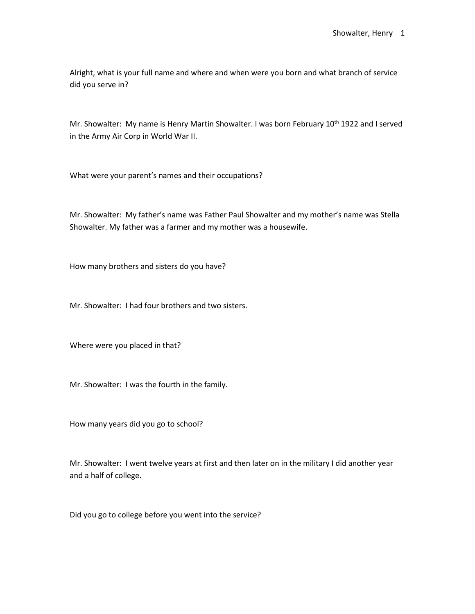Alright, what is your full name and where and when were you born and what branch of service did you serve in?

Mr. Showalter: My name is Henry Martin Showalter. I was born February 10<sup>th</sup> 1922 and I served in the Army Air Corp in World War II.

What were your parent's names and their occupations?

Mr. Showalter: My father's name was Father Paul Showalter and my mother's name was Stella Showalter. My father was a farmer and my mother was a housewife.

How many brothers and sisters do you have?

Mr. Showalter: I had four brothers and two sisters.

Where were you placed in that?

Mr. Showalter: I was the fourth in the family.

How many years did you go to school?

Mr. Showalter: I went twelve years at first and then later on in the military I did another year and a half of college.

Did you go to college before you went into the service?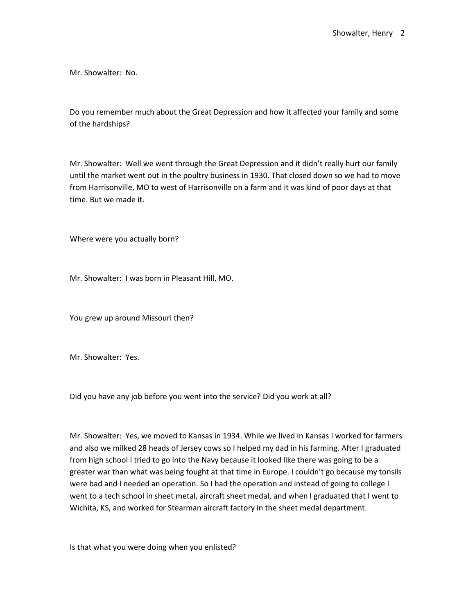Mr. Showalter: No.

Do you remember much about the Great Depression and how it affected your family and some of the hardships?

Mr. Showalter: Well we went through the Great Depression and it didn't really hurt our family until the market went out in the poultry business in 1930. That closed down so we had to move from Harrisonville, MO to west of Harrisonville on a farm and it was kind of poor days at that time. But we made it.

Where were you actually born?

Mr. Showalter: I was born in Pleasant Hill, MO.

You grew up around Missouri then?

Mr. Showalter: Yes.

Did you have any job before you went into the service? Did you work at all?

Mr. Showalter: Yes, we moved to Kansas in 1934. While we lived in Kansas I worked for farmers and also we milked 28 heads of Jersey cows so I helped my dad in his farming. After I graduated from high school I tried to go into the Navy because it looked like there was going to be a greater war than what was being fought at that time in Europe. I couldn't go because my tonsils were bad and I needed an operation. So I had the operation and instead of going to college I went to a tech school in sheet metal, aircraft sheet medal, and when I graduated that I went to Wichita, KS, and worked for Stearman aircraft factory in the sheet medal department.

Is that what you were doing when you enlisted?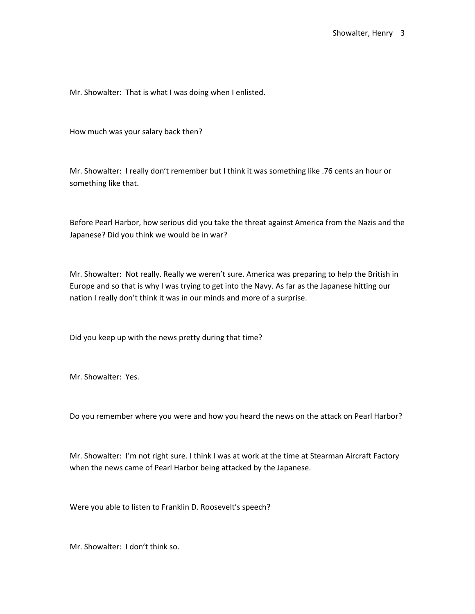Mr. Showalter: That is what I was doing when I enlisted.

How much was your salary back then?

Mr. Showalter: I really don't remember but I think it was something like .76 cents an hour or something like that.

Before Pearl Harbor, how serious did you take the threat against America from the Nazis and the Japanese? Did you think we would be in war?

Mr. Showalter: Not really. Really we weren't sure. America was preparing to help the British in Europe and so that is why I was trying to get into the Navy. As far as the Japanese hitting our nation I really don't think it was in our minds and more of a surprise.

Did you keep up with the news pretty during that time?

Mr. Showalter: Yes.

Do you remember where you were and how you heard the news on the attack on Pearl Harbor?

Mr. Showalter: I'm not right sure. I think I was at work at the time at Stearman Aircraft Factory when the news came of Pearl Harbor being attacked by the Japanese.

Were you able to listen to Franklin D. Roosevelt's speech?

Mr. Showalter: I don't think so.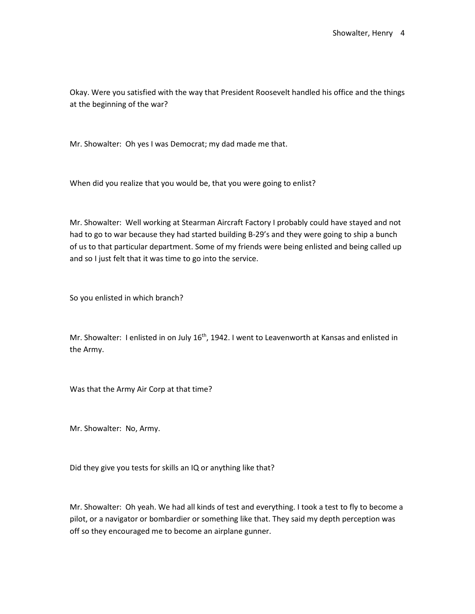Okay. Were you satisfied with the way that President Roosevelt handled his office and the things at the beginning of the war?

Mr. Showalter: Oh yes I was Democrat; my dad made me that.

When did you realize that you would be, that you were going to enlist?

Mr. Showalter: Well working at Stearman Aircraft Factory I probably could have stayed and not had to go to war because they had started building B-29's and they were going to ship a bunch of us to that particular department. Some of my friends were being enlisted and being called up and so I just felt that it was time to go into the service.

So you enlisted in which branch?

Mr. Showalter: I enlisted in on July  $16<sup>th</sup>$ , 1942. I went to Leavenworth at Kansas and enlisted in the Army.

Was that the Army Air Corp at that time?

Mr. Showalter: No, Army.

Did they give you tests for skills an IQ or anything like that?

Mr. Showalter: Oh yeah. We had all kinds of test and everything. I took a test to fly to become a pilot, or a navigator or bombardier or something like that. They said my depth perception was off so they encouraged me to become an airplane gunner.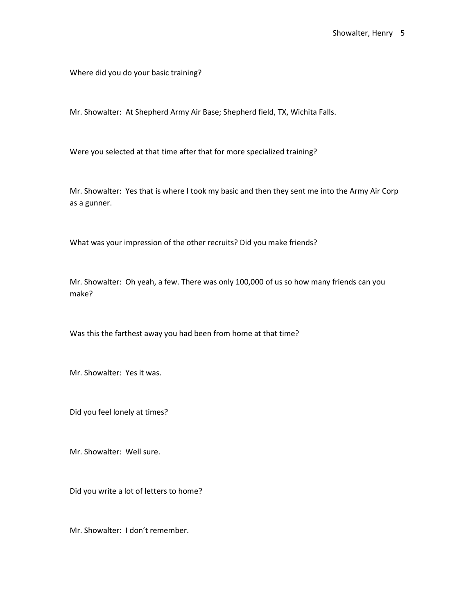Where did you do your basic training?

Mr. Showalter: At Shepherd Army Air Base; Shepherd field, TX, Wichita Falls.

Were you selected at that time after that for more specialized training?

Mr. Showalter: Yes that is where I took my basic and then they sent me into the Army Air Corp as a gunner.

What was your impression of the other recruits? Did you make friends?

Mr. Showalter: Oh yeah, a few. There was only 100,000 of us so how many friends can you make?

Was this the farthest away you had been from home at that time?

Mr. Showalter: Yes it was.

Did you feel lonely at times?

Mr. Showalter: Well sure.

Did you write a lot of letters to home?

Mr. Showalter: I don't remember.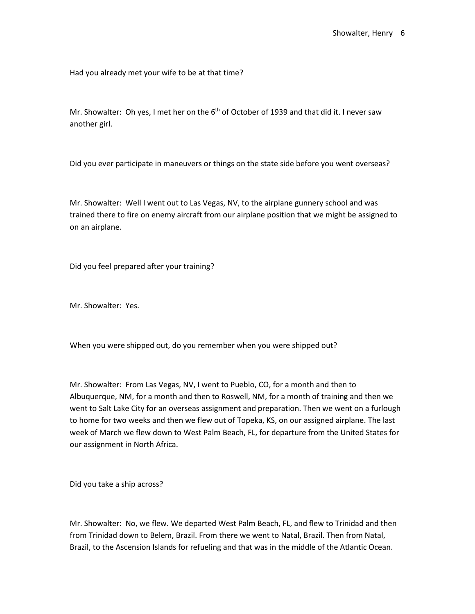Had you already met your wife to be at that time?

Mr. Showalter: Oh yes, I met her on the  $6<sup>th</sup>$  of October of 1939 and that did it. I never saw another girl.

Did you ever participate in maneuvers or things on the state side before you went overseas?

Mr. Showalter: Well I went out to Las Vegas, NV, to the airplane gunnery school and was trained there to fire on enemy aircraft from our airplane position that we might be assigned to on an airplane.

Did you feel prepared after your training?

Mr. Showalter: Yes.

When you were shipped out, do you remember when you were shipped out?

Mr. Showalter: From Las Vegas, NV, I went to Pueblo, CO, for a month and then to Albuquerque, NM, for a month and then to Roswell, NM, for a month of training and then we went to Salt Lake City for an overseas assignment and preparation. Then we went on a furlough to home for two weeks and then we flew out of Topeka, KS, on our assigned airplane. The last week of March we flew down to West Palm Beach, FL, for departure from the United States for our assignment in North Africa.

Did you take a ship across?

Mr. Showalter: No, we flew. We departed West Palm Beach, FL, and flew to Trinidad and then from Trinidad down to Belem, Brazil. From there we went to Natal, Brazil. Then from Natal, Brazil, to the Ascension Islands for refueling and that was in the middle of the Atlantic Ocean.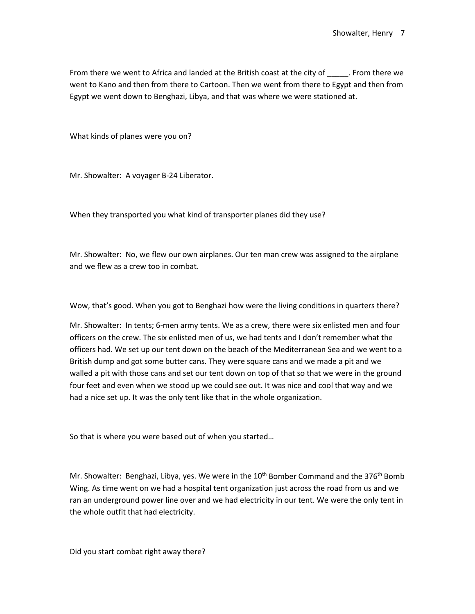From there we went to Africa and landed at the British coast at the city of \_\_\_\_\_\_. From there we went to Kano and then from there to Cartoon. Then we went from there to Egypt and then from Egypt we went down to Benghazi, Libya, and that was where we were stationed at.

What kinds of planes were you on?

Mr. Showalter: A voyager B-24 Liberator.

When they transported you what kind of transporter planes did they use?

Mr. Showalter: No, we flew our own airplanes. Our ten man crew was assigned to the airplane and we flew as a crew too in combat.

Wow, that's good. When you got to Benghazi how were the living conditions in quarters there?

Mr. Showalter: In tents; 6-men army tents. We as a crew, there were six enlisted men and four officers on the crew. The six enlisted men of us, we had tents and I don't remember what the officers had. We set up our tent down on the beach of the Mediterranean Sea and we went to a British dump and got some butter cans. They were square cans and we made a pit and we walled a pit with those cans and set our tent down on top of that so that we were in the ground four feet and even when we stood up we could see out. It was nice and cool that way and we had a nice set up. It was the only tent like that in the whole organization.

So that is where you were based out of when you started…

Mr. Showalter: Benghazi, Libya, yes. We were in the 10<sup>th</sup> Bomber Command and the 376<sup>th</sup> Bomb Wing. As time went on we had a hospital tent organization just across the road from us and we ran an underground power line over and we had electricity in our tent. We were the only tent in the whole outfit that had electricity.

Did you start combat right away there?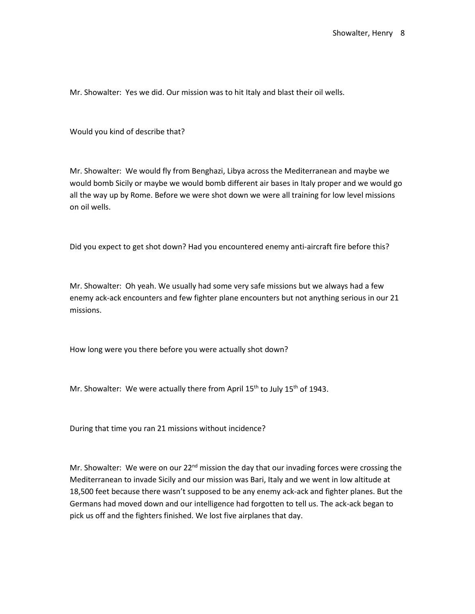Mr. Showalter: Yes we did. Our mission was to hit Italy and blast their oil wells.

Would you kind of describe that?

Mr. Showalter: We would fly from Benghazi, Libya across the Mediterranean and maybe we would bomb Sicily or maybe we would bomb different air bases in Italy proper and we would go all the way up by Rome. Before we were shot down we were all training for low level missions on oil wells.

Did you expect to get shot down? Had you encountered enemy anti-aircraft fire before this?

Mr. Showalter: Oh yeah. We usually had some very safe missions but we always had a few enemy ack-ack encounters and few fighter plane encounters but not anything serious in our 21 missions.

How long were you there before you were actually shot down?

Mr. Showalter: We were actually there from April  $15<sup>th</sup>$  to July  $15<sup>th</sup>$  of 1943.

During that time you ran 21 missions without incidence?

Mr. Showalter: We were on our  $22^{nd}$  mission the day that our invading forces were crossing the Mediterranean to invade Sicily and our mission was Bari, Italy and we went in low altitude at 18,500 feet because there wasn't supposed to be any enemy ack-ack and fighter planes. But the Germans had moved down and our intelligence had forgotten to tell us. The ack-ack began to pick us off and the fighters finished. We lost five airplanes that day.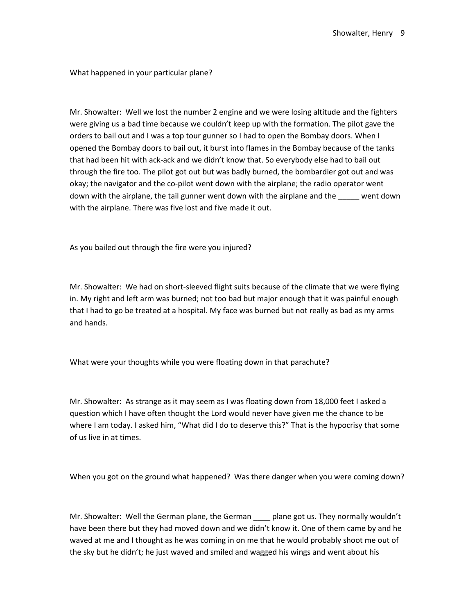What happened in your particular plane?

Mr. Showalter: Well we lost the number 2 engine and we were losing altitude and the fighters were giving us a bad time because we couldn't keep up with the formation. The pilot gave the orders to bail out and I was a top tour gunner so I had to open the Bombay doors. When I opened the Bombay doors to bail out, it burst into flames in the Bombay because of the tanks that had been hit with ack-ack and we didn't know that. So everybody else had to bail out through the fire too. The pilot got out but was badly burned, the bombardier got out and was okay; the navigator and the co-pilot went down with the airplane; the radio operator went down with the airplane, the tail gunner went down with the airplane and the \_\_\_\_\_ went down with the airplane. There was five lost and five made it out.

As you bailed out through the fire were you injured?

Mr. Showalter: We had on short-sleeved flight suits because of the climate that we were flying in. My right and left arm was burned; not too bad but major enough that it was painful enough that I had to go be treated at a hospital. My face was burned but not really as bad as my arms and hands.

What were your thoughts while you were floating down in that parachute?

Mr. Showalter: As strange as it may seem as I was floating down from 18,000 feet I asked a question which I have often thought the Lord would never have given me the chance to be where I am today. I asked him, "What did I do to deserve this?" That is the hypocrisy that some of us live in at times.

When you got on the ground what happened? Was there danger when you were coming down?

Mr. Showalter: Well the German plane, the German plane got us. They normally wouldn't have been there but they had moved down and we didn't know it. One of them came by and he waved at me and I thought as he was coming in on me that he would probably shoot me out of the sky but he didn't; he just waved and smiled and wagged his wings and went about his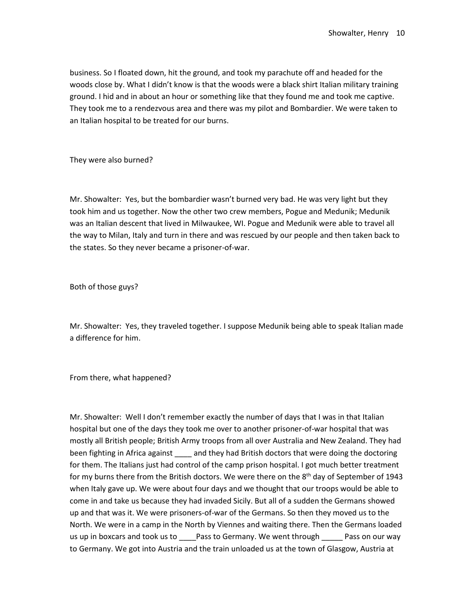business. So I floated down, hit the ground, and took my parachute off and headed for the woods close by. What I didn't know is that the woods were a black shirt Italian military training ground. I hid and in about an hour or something like that they found me and took me captive. They took me to a rendezvous area and there was my pilot and Bombardier. We were taken to an Italian hospital to be treated for our burns.

They were also burned?

Mr. Showalter: Yes, but the bombardier wasn't burned very bad. He was very light but they took him and us together. Now the other two crew members, Pogue and Medunik; Medunik was an Italian descent that lived in Milwaukee, WI. Pogue and Medunik were able to travel all the way to Milan, Italy and turn in there and was rescued by our people and then taken back to the states. So they never became a prisoner-of-war.

Both of those guys?

Mr. Showalter: Yes, they traveled together. I suppose Medunik being able to speak Italian made a difference for him.

From there, what happened?

Mr. Showalter: Well I don't remember exactly the number of days that I was in that Italian hospital but one of the days they took me over to another prisoner-of-war hospital that was mostly all British people; British Army troops from all over Australia and New Zealand. They had been fighting in Africa against and they had British doctors that were doing the doctoring for them. The Italians just had control of the camp prison hospital. I got much better treatment for my burns there from the British doctors. We were there on the  $8<sup>th</sup>$  day of September of 1943 when Italy gave up. We were about four days and we thought that our troops would be able to come in and take us because they had invaded Sicily. But all of a sudden the Germans showed up and that was it. We were prisoners-of-war of the Germans. So then they moved us to the North. We were in a camp in the North by Viennes and waiting there. Then the Germans loaded us up in boxcars and took us to \_\_\_\_Pass to Germany. We went through \_\_\_\_\_ Pass on our way to Germany. We got into Austria and the train unloaded us at the town of Glasgow, Austria at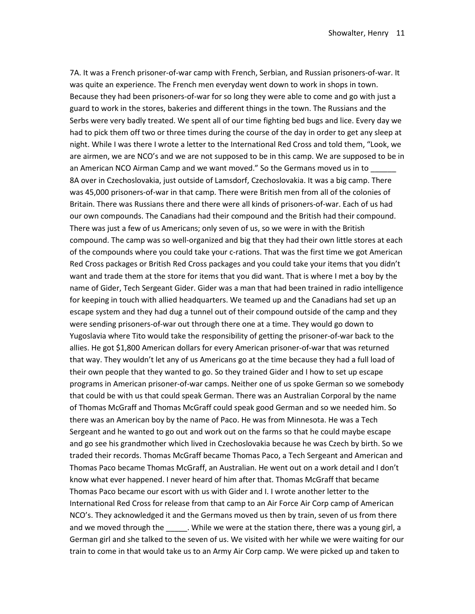7A. It was a French prisoner-of-war camp with French, Serbian, and Russian prisoners-of-war. It was quite an experience. The French men everyday went down to work in shops in town. Because they had been prisoners-of-war for so long they were able to come and go with just a guard to work in the stores, bakeries and different things in the town. The Russians and the Serbs were very badly treated. We spent all of our time fighting bed bugs and lice. Every day we had to pick them off two or three times during the course of the day in order to get any sleep at night. While I was there I wrote a letter to the International Red Cross and told them, "Look, we are airmen, we are NCO's and we are not supposed to be in this camp. We are supposed to be in an American NCO Airman Camp and we want moved." So the Germans moved us in to 8A over in Czechoslovakia, just outside of Lamsdorf, Czechoslovakia. It was a big camp. There was 45,000 prisoners-of-war in that camp. There were British men from all of the colonies of Britain. There was Russians there and there were all kinds of prisoners-of-war. Each of us had our own compounds. The Canadians had their compound and the British had their compound. There was just a few of us Americans; only seven of us, so we were in with the British compound. The camp was so well-organized and big that they had their own little stores at each of the compounds where you could take your c-rations. That was the first time we got American Red Cross packages or British Red Cross packages and you could take your items that you didn't want and trade them at the store for items that you did want. That is where I met a boy by the name of Gider, Tech Sergeant Gider. Gider was a man that had been trained in radio intelligence for keeping in touch with allied headquarters. We teamed up and the Canadians had set up an escape system and they had dug a tunnel out of their compound outside of the camp and they were sending prisoners-of-war out through there one at a time. They would go down to Yugoslavia where Tito would take the responsibility of getting the prisoner-of-war back to the allies. He got \$1,800 American dollars for every American prisoner-of-war that was returned that way. They wouldn't let any of us Americans go at the time because they had a full load of their own people that they wanted to go. So they trained Gider and I how to set up escape programs in American prisoner-of-war camps. Neither one of us spoke German so we somebody that could be with us that could speak German. There was an Australian Corporal by the name of Thomas McGraff and Thomas McGraff could speak good German and so we needed him. So there was an American boy by the name of Paco. He was from Minnesota. He was a Tech Sergeant and he wanted to go out and work out on the farms so that he could maybe escape and go see his grandmother which lived in Czechoslovakia because he was Czech by birth. So we traded their records. Thomas McGraff became Thomas Paco, a Tech Sergeant and American and Thomas Paco became Thomas McGraff, an Australian. He went out on a work detail and I don't know what ever happened. I never heard of him after that. Thomas McGraff that became Thomas Paco became our escort with us with Gider and I. I wrote another letter to the International Red Cross for release from that camp to an Air Force Air Corp camp of American NCO's. They acknowledged it and the Germans moved us then by train, seven of us from there and we moved through the \_\_\_\_\_\_. While we were at the station there, there was a young girl, a German girl and she talked to the seven of us. We visited with her while we were waiting for our train to come in that would take us to an Army Air Corp camp. We were picked up and taken to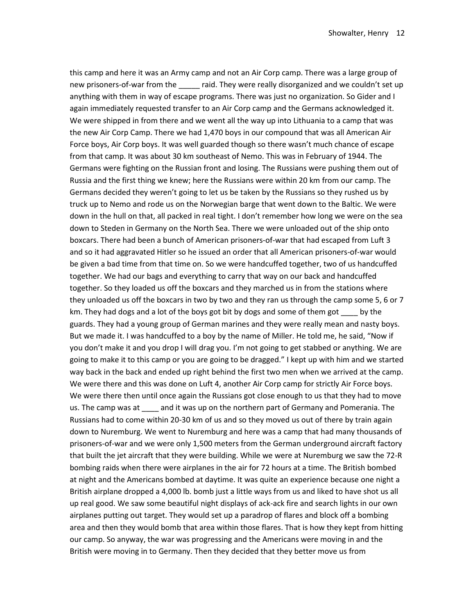this camp and here it was an Army camp and not an Air Corp camp. There was a large group of new prisoners-of-war from the \_\_\_\_\_ raid. They were really disorganized and we couldn't set up anything with them in way of escape programs. There was just no organization. So Gider and I again immediately requested transfer to an Air Corp camp and the Germans acknowledged it. We were shipped in from there and we went all the way up into Lithuania to a camp that was the new Air Corp Camp. There we had 1,470 boys in our compound that was all American Air Force boys, Air Corp boys. It was well guarded though so there wasn't much chance of escape from that camp. It was about 30 km southeast of Nemo. This was in February of 1944. The Germans were fighting on the Russian front and losing. The Russians were pushing them out of Russia and the first thing we knew; here the Russians were within 20 km from our camp. The Germans decided they weren't going to let us be taken by the Russians so they rushed us by truck up to Nemo and rode us on the Norwegian barge that went down to the Baltic. We were down in the hull on that, all packed in real tight. I don't remember how long we were on the sea down to Steden in Germany on the North Sea. There we were unloaded out of the ship onto boxcars. There had been a bunch of American prisoners-of-war that had escaped from Luft 3 and so it had aggravated Hitler so he issued an order that all American prisoners-of-war would be given a bad time from that time on. So we were handcuffed together, two of us handcuffed together. We had our bags and everything to carry that way on our back and handcuffed together. So they loaded us off the boxcars and they marched us in from the stations where they unloaded us off the boxcars in two by two and they ran us through the camp some 5, 6 or 7 km. They had dogs and a lot of the boys got bit by dogs and some of them got by the guards. They had a young group of German marines and they were really mean and nasty boys. But we made it. I was handcuffed to a boy by the name of Miller. He told me, he said, "Now if you don't make it and you drop I will drag you. I'm not going to get stabbed or anything. We are going to make it to this camp or you are going to be dragged." I kept up with him and we started way back in the back and ended up right behind the first two men when we arrived at the camp. We were there and this was done on Luft 4, another Air Corp camp for strictly Air Force boys. We were there then until once again the Russians got close enough to us that they had to move us. The camp was at and it was up on the northern part of Germany and Pomerania. The Russians had to come within 20-30 km of us and so they moved us out of there by train again down to Nuremburg. We went to Nuremburg and here was a camp that had many thousands of prisoners-of-war and we were only 1,500 meters from the German underground aircraft factory that built the jet aircraft that they were building. While we were at Nuremburg we saw the 72-R bombing raids when there were airplanes in the air for 72 hours at a time. The British bombed at night and the Americans bombed at daytime. It was quite an experience because one night a British airplane dropped a 4,000 lb. bomb just a little ways from us and liked to have shot us all up real good. We saw some beautiful night displays of ack-ack fire and search lights in our own airplanes putting out target. They would set up a paradrop of flares and block off a bombing area and then they would bomb that area within those flares. That is how they kept from hitting our camp. So anyway, the war was progressing and the Americans were moving in and the British were moving in to Germany. Then they decided that they better move us from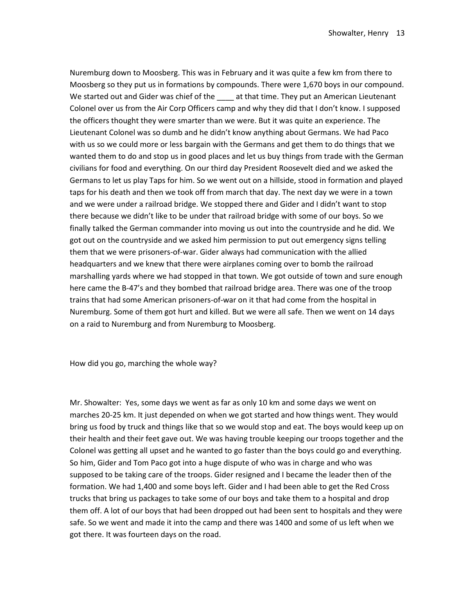Nuremburg down to Moosberg. This was in February and it was quite a few km from there to Moosberg so they put us in formations by compounds. There were 1,670 boys in our compound. We started out and Gider was chief of the \_\_\_\_\_ at that time. They put an American Lieutenant Colonel over us from the Air Corp Officers camp and why they did that I don't know. I supposed the officers thought they were smarter than we were. But it was quite an experience. The Lieutenant Colonel was so dumb and he didn't know anything about Germans. We had Paco with us so we could more or less bargain with the Germans and get them to do things that we wanted them to do and stop us in good places and let us buy things from trade with the German civilians for food and everything. On our third day President Roosevelt died and we asked the Germans to let us play Taps for him. So we went out on a hillside, stood in formation and played taps for his death and then we took off from march that day. The next day we were in a town and we were under a railroad bridge. We stopped there and Gider and I didn't want to stop there because we didn't like to be under that railroad bridge with some of our boys. So we finally talked the German commander into moving us out into the countryside and he did. We got out on the countryside and we asked him permission to put out emergency signs telling them that we were prisoners-of-war. Gider always had communication with the allied headquarters and we knew that there were airplanes coming over to bomb the railroad marshalling yards where we had stopped in that town. We got outside of town and sure enough here came the B-47's and they bombed that railroad bridge area. There was one of the troop trains that had some American prisoners-of-war on it that had come from the hospital in Nuremburg. Some of them got hurt and killed. But we were all safe. Then we went on 14 days on a raid to Nuremburg and from Nuremburg to Moosberg.

How did you go, marching the whole way?

Mr. Showalter: Yes, some days we went as far as only 10 km and some days we went on marches 20-25 km. It just depended on when we got started and how things went. They would bring us food by truck and things like that so we would stop and eat. The boys would keep up on their health and their feet gave out. We was having trouble keeping our troops together and the Colonel was getting all upset and he wanted to go faster than the boys could go and everything. So him, Gider and Tom Paco got into a huge dispute of who was in charge and who was supposed to be taking care of the troops. Gider resigned and I became the leader then of the formation. We had 1,400 and some boys left. Gider and I had been able to get the Red Cross trucks that bring us packages to take some of our boys and take them to a hospital and drop them off. A lot of our boys that had been dropped out had been sent to hospitals and they were safe. So we went and made it into the camp and there was 1400 and some of us left when we got there. It was fourteen days on the road.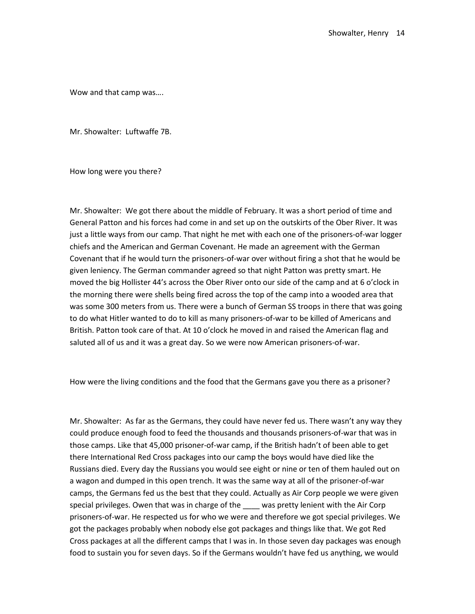Wow and that camp was….

Mr. Showalter: Luftwaffe 7B.

How long were you there?

Mr. Showalter: We got there about the middle of February. It was a short period of time and General Patton and his forces had come in and set up on the outskirts of the Ober River. It was just a little ways from our camp. That night he met with each one of the prisoners-of-war logger chiefs and the American and German Covenant. He made an agreement with the German Covenant that if he would turn the prisoners-of-war over without firing a shot that he would be given leniency. The German commander agreed so that night Patton was pretty smart. He moved the big Hollister 44's across the Ober River onto our side of the camp and at 6 o'clock in the morning there were shells being fired across the top of the camp into a wooded area that was some 300 meters from us. There were a bunch of German SS troops in there that was going to do what Hitler wanted to do to kill as many prisoners-of-war to be killed of Americans and British. Patton took care of that. At 10 o'clock he moved in and raised the American flag and saluted all of us and it was a great day. So we were now American prisoners-of-war.

How were the living conditions and the food that the Germans gave you there as a prisoner?

Mr. Showalter: As far as the Germans, they could have never fed us. There wasn't any way they could produce enough food to feed the thousands and thousands prisoners-of-war that was in those camps. Like that 45,000 prisoner-of-war camp, if the British hadn't of been able to get there International Red Cross packages into our camp the boys would have died like the Russians died. Every day the Russians you would see eight or nine or ten of them hauled out on a wagon and dumped in this open trench. It was the same way at all of the prisoner-of-war camps, the Germans fed us the best that they could. Actually as Air Corp people we were given special privileges. Owen that was in charge of the was pretty lenient with the Air Corp prisoners-of-war. He respected us for who we were and therefore we got special privileges. We got the packages probably when nobody else got packages and things like that. We got Red Cross packages at all the different camps that I was in. In those seven day packages was enough food to sustain you for seven days. So if the Germans wouldn't have fed us anything, we would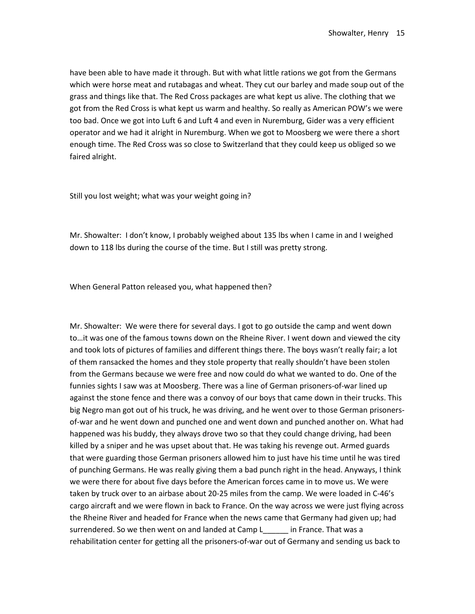have been able to have made it through. But with what little rations we got from the Germans which were horse meat and rutabagas and wheat. They cut our barley and made soup out of the grass and things like that. The Red Cross packages are what kept us alive. The clothing that we got from the Red Cross is what kept us warm and healthy. So really as American POW's we were too bad. Once we got into Luft 6 and Luft 4 and even in Nuremburg, Gider was a very efficient operator and we had it alright in Nuremburg. When we got to Moosberg we were there a short enough time. The Red Cross was so close to Switzerland that they could keep us obliged so we faired alright.

Still you lost weight; what was your weight going in?

Mr. Showalter: I don't know, I probably weighed about 135 lbs when I came in and I weighed down to 118 lbs during the course of the time. But I still was pretty strong.

When General Patton released you, what happened then?

Mr. Showalter: We were there for several days. I got to go outside the camp and went down to…it was one of the famous towns down on the Rheine River. I went down and viewed the city and took lots of pictures of families and different things there. The boys wasn't really fair; a lot of them ransacked the homes and they stole property that really shouldn't have been stolen from the Germans because we were free and now could do what we wanted to do. One of the funnies sights I saw was at Moosberg. There was a line of German prisoners-of-war lined up against the stone fence and there was a convoy of our boys that came down in their trucks. This big Negro man got out of his truck, he was driving, and he went over to those German prisonersof-war and he went down and punched one and went down and punched another on. What had happened was his buddy, they always drove two so that they could change driving, had been killed by a sniper and he was upset about that. He was taking his revenge out. Armed guards that were guarding those German prisoners allowed him to just have his time until he was tired of punching Germans. He was really giving them a bad punch right in the head. Anyways, I think we were there for about five days before the American forces came in to move us. We were taken by truck over to an airbase about 20-25 miles from the camp. We were loaded in C-46's cargo aircraft and we were flown in back to France. On the way across we were just flying across the Rheine River and headed for France when the news came that Germany had given up; had surrendered. So we then went on and landed at Camp L in France. That was a rehabilitation center for getting all the prisoners-of-war out of Germany and sending us back to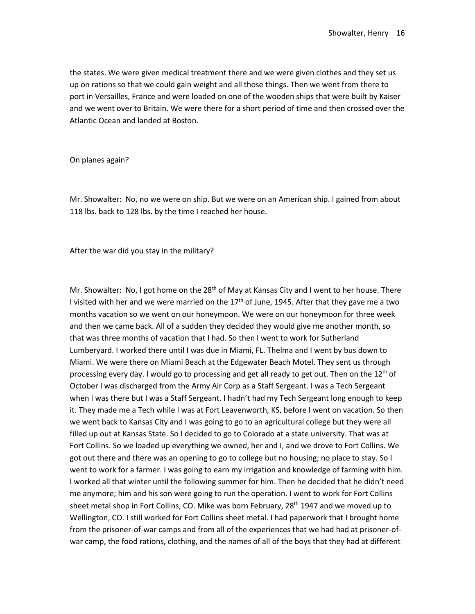the states. We were given medical treatment there and we were given clothes and they set us up on rations so that we could gain weight and all those things. Then we went from there to port in Versailles, France and were loaded on one of the wooden ships that were built by Kaiser and we went over to Britain. We were there for a short period of time and then crossed over the Atlantic Ocean and landed at Boston.

On planes again?

Mr. Showalter: No, no we were on ship. But we were on an American ship. I gained from about 118 lbs. back to 128 lbs. by the time I reached her house.

After the war did you stay in the military?

Mr. Showalter: No, I got home on the  $28<sup>th</sup>$  of May at Kansas City and I went to her house. There I visited with her and we were married on the  $17<sup>th</sup>$  of June, 1945. After that they gave me a two months vacation so we went on our honeymoon. We were on our honeymoon for three week and then we came back. All of a sudden they decided they would give me another month, so that was three months of vacation that I had. So then I went to work for Sutherland Lumberyard. I worked there until I was due in Miami, FL. Thelma and I went by bus down to Miami. We were there on Miami Beach at the Edgewater Beach Motel. They sent us through processing every day. I would go to processing and get all ready to get out. Then on the  $12<sup>th</sup>$  of October I was discharged from the Army Air Corp as a Staff Sergeant. I was a Tech Sergeant when I was there but I was a Staff Sergeant. I hadn't had my Tech Sergeant long enough to keep it. They made me a Tech while I was at Fort Leavenworth, KS, before I went on vacation. So then we went back to Kansas City and I was going to go to an agricultural college but they were all filled up out at Kansas State. So I decided to go to Colorado at a state university. That was at Fort Collins. So we loaded up everything we owned, her and I, and we drove to Fort Collins. We got out there and there was an opening to go to college but no housing; no place to stay. So I went to work for a farmer. I was going to earn my irrigation and knowledge of farming with him. I worked all that winter until the following summer for him. Then he decided that he didn't need me anymore; him and his son were going to run the operation. I went to work for Fort Collins sheet metal shop in Fort Collins, CO. Mike was born February, 28<sup>th</sup> 1947 and we moved up to Wellington, CO. I still worked for Fort Collins sheet metal. I had paperwork that I brought home from the prisoner-of-war camps and from all of the experiences that we had had at prisoner-ofwar camp, the food rations, clothing, and the names of all of the boys that they had at different